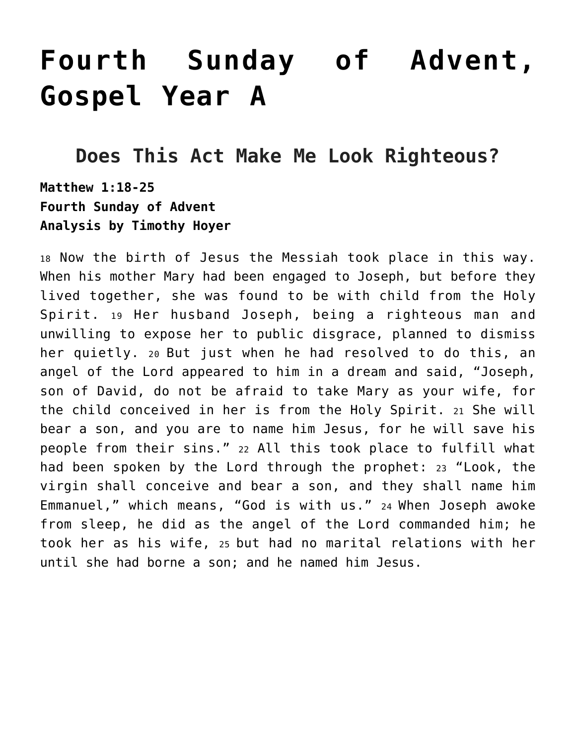# **[Fourth Sunday of Advent,](https://crossings.org/text-study/fourth-sunday-of-advent-year-a/) [Gospel Year A](https://crossings.org/text-study/fourth-sunday-of-advent-year-a/)**

## **Does This Act Make Me Look Righteous?**

**Matthew 1:18-25 Fourth Sunday of Advent Analysis by Timothy Hoyer**

<sup>18</sup> Now the birth of Jesus the Messiah took place in this way. When his mother Mary had been engaged to Joseph, but before they lived together, she was found to be with child from the Holy Spirit. 19 Her husband Joseph, being a righteous man and unwilling to expose her to public disgrace, planned to dismiss her quietly. 20 But just when he had resolved to do this, an angel of the Lord appeared to him in a dream and said, "Joseph, son of David, do not be afraid to take Mary as your wife, for the child conceived in her is from the Holy Spirit. 21 She will bear a son, and you are to name him Jesus, for he will save his people from their sins." 22 All this took place to fulfill what had been spoken by the Lord through the prophet: 23 "Look, the virgin shall conceive and bear a son, and they shall name him Emmanuel," which means, "God is with us." 24 When Joseph awoke from sleep, he did as the angel of the Lord commanded him; he took her as his wife, 25 but had no marital relations with her until she had borne a son; and he named him Jesus.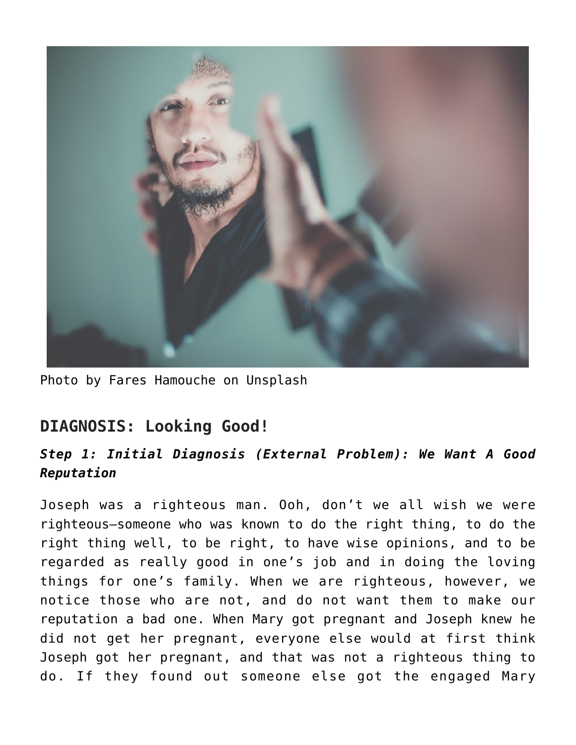

Photo by Fares Hamouche on Unsplash

## **DIAGNOSIS: Looking Good!**

#### *Step 1: Initial Diagnosis (External Problem): We Want A Good Reputation*

Joseph was a righteous man. Ooh, don't we all wish we were righteous—someone who was known to do the right thing, to do the right thing well, to be right, to have wise opinions, and to be regarded as really good in one's job and in doing the loving things for one's family. When we are righteous, however, we notice those who are not, and do not want them to make our reputation a bad one. When Mary got pregnant and Joseph knew he did not get her pregnant, everyone else would at first think Joseph got her pregnant, and that was not a righteous thing to do. If they found out someone else got the engaged Mary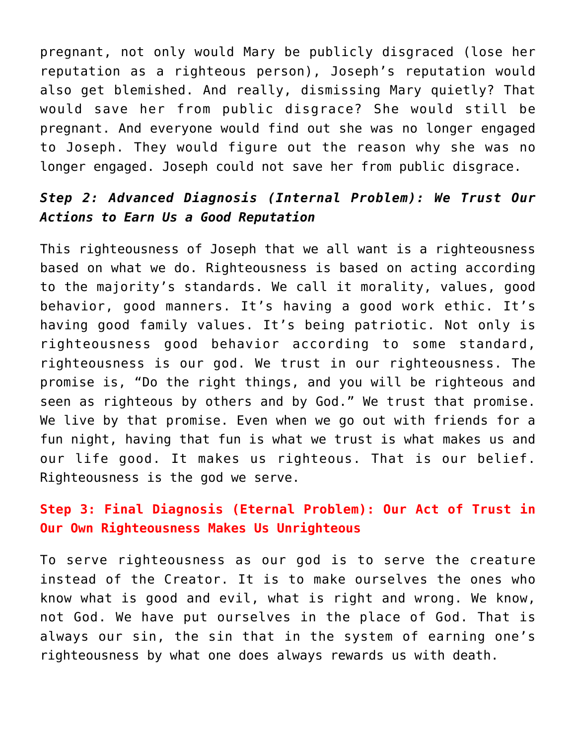pregnant, not only would Mary be publicly disgraced (lose her reputation as a righteous person), Joseph's reputation would also get blemished. And really, dismissing Mary quietly? That would save her from public disgrace? She would still be pregnant. And everyone would find out she was no longer engaged to Joseph. They would figure out the reason why she was no longer engaged. Joseph could not save her from public disgrace.

#### *Step 2: Advanced Diagnosis (Internal Problem): We Trust Our Actions to Earn Us a Good Reputation*

This righteousness of Joseph that we all want is a righteousness based on what we do. Righteousness is based on acting according to the majority's standards. We call it morality, values, good behavior, good manners. It's having a good work ethic. It's having good family values. It's being patriotic. Not only is righteousness good behavior according to some standard, righteousness is our god. We trust in our righteousness. The promise is, "Do the right things, and you will be righteous and seen as righteous by others and by God." We trust that promise. We live by that promise. Even when we go out with friends for a fun night, having that fun is what we trust is what makes us and our life good. It makes us righteous. That is our belief. Righteousness is the god we serve.

#### **Step 3: Final Diagnosis (Eternal Problem): Our Act of Trust in Our Own Righteousness Makes Us Unrighteous**

To serve righteousness as our god is to serve the creature instead of the Creator. It is to make ourselves the ones who know what is good and evil, what is right and wrong. We know, not God. We have put ourselves in the place of God. That is always our sin, the sin that in the system of earning one's righteousness by what one does always rewards us with death.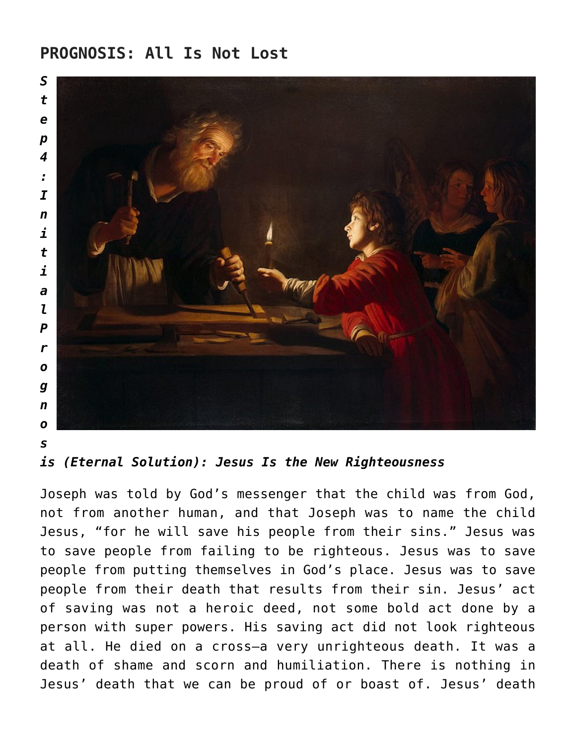### **PROGNOSIS: All Is Not Lost**



```
s
```
*is (Eternal Solution): Jesus Is the New Righteousness*

Joseph was told by God's messenger that the child was from God, not from another human, and that Joseph was to name the child Jesus, "for he will save his people from their sins." Jesus was to save people from failing to be righteous. Jesus was to save people from putting themselves in God's place. Jesus was to save people from their death that results from their sin. Jesus' act of saving was not a heroic deed, not some bold act done by a person with super powers. His saving act did not look righteous at all. He died on a cross—a very unrighteous death. It was a death of shame and scorn and humiliation. There is nothing in Jesus' death that we can be proud of or boast of. Jesus' death